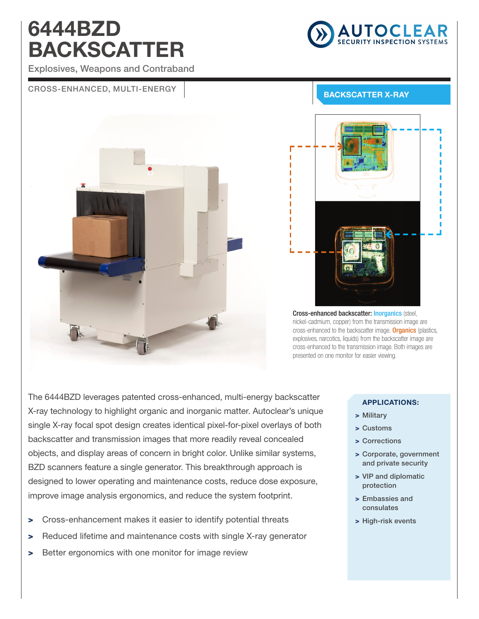# 6444BZD BACKSCATTER



Explosives, Weapons and Contraband

### CROSS-ENHANCED, MULTI-ENERGY | ENERGY BACKSCATTER X-RAY





Cross-enhanced backscatter: Inorganics (steel, nickel-cadmium, copper) from the transmission image are cross-enhanced to the backscatter image. Organics (plastics, explosives, narcotics, liquids) from the backscatter image are cross-enhanced to the transmission image. Both images are presented on one monitor for easier viewing.

The 6444BZD leverages patented cross-enhanced, multi-energy backscatter X-ray technology to highlight organic and inorganic matter. Autoclear's unique single X-ray focal spot design creates identical pixel-for-pixel overlays of both backscatter and transmission images that more readily reveal concealed objects, and display areas of concern in bright color. Unlike similar systems, BZD scanners feature a single generator. This breakthrough approach is designed to lower operating and maintenance costs, reduce dose exposure, improve image analysis ergonomics, and reduce the system footprint.

- > Cross-enhancement makes it easier to identify potential threats
- > Reduced lifetime and maintenance costs with single X-ray generator
- > Better ergonomics with one monitor for image review

#### APPLICATIONS:

- > Military
- > Customs
- > Corrections
- > Corporate, government and private security
- > VIP and diplomatic protection
- > Embassies and consulates
- > High-risk events